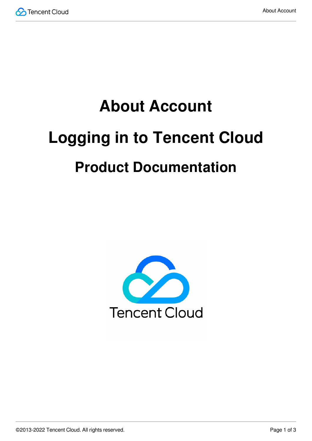

# **About Account Logging in to Tencent Cloud Product Documentation**

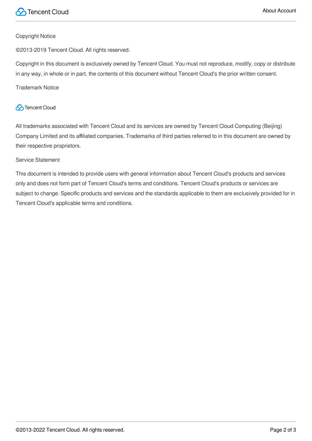

### Copyright Notice

©2013-2019 Tencent Cloud. All rights reserved.

Copyright in this document is exclusively owned by Tencent Cloud. You must not reproduce, modify, copy or distribute in any way, in whole or in part, the contents of this document without Tencent Cloud's the prior written consent.

Trademark Notice

### **C** Tencent Cloud

All trademarks associated with Tencent Cloud and its services are owned by Tencent Cloud Computing (Beijing) Company Limited and its affiliated companies. Trademarks of third parties referred to in this document are owned by their respective proprietors.

### Service Statement

This document is intended to provide users with general information about Tencent Cloud's products and services only and does not form part of Tencent Cloud's terms and conditions. Tencent Cloud's products or services are subject to change. Specific products and services and the standards applicable to them are exclusively provided for in Tencent Cloud's applicable terms and conditions.